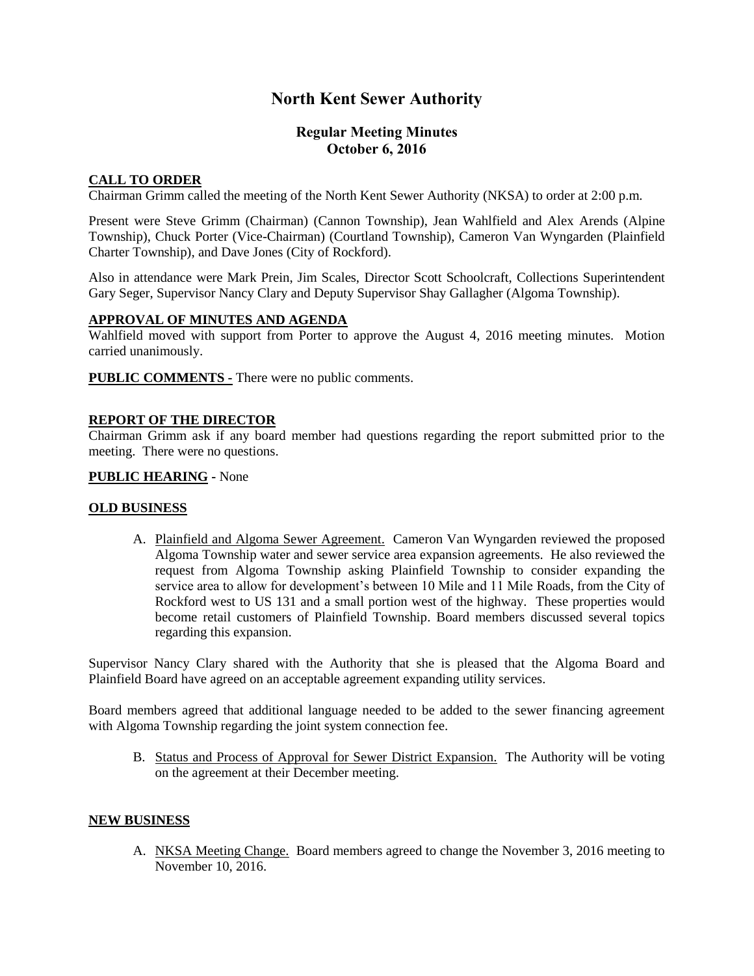# **North Kent Sewer Authority**

# **Regular Meeting Minutes October 6, 2016**

## **CALL TO ORDER**

Chairman Grimm called the meeting of the North Kent Sewer Authority (NKSA) to order at 2:00 p.m.

Present were Steve Grimm (Chairman) (Cannon Township), Jean Wahlfield and Alex Arends (Alpine Township), Chuck Porter (Vice-Chairman) (Courtland Township), Cameron Van Wyngarden (Plainfield Charter Township), and Dave Jones (City of Rockford).

Also in attendance were Mark Prein, Jim Scales, Director Scott Schoolcraft, Collections Superintendent Gary Seger, Supervisor Nancy Clary and Deputy Supervisor Shay Gallagher (Algoma Township).

### **APPROVAL OF MINUTES AND AGENDA**

Wahlfield moved with support from Porter to approve the August 4, 2016 meeting minutes. Motion carried unanimously.

**PUBLIC COMMENTS -** There were no public comments.

#### **REPORT OF THE DIRECTOR**

Chairman Grimm ask if any board member had questions regarding the report submitted prior to the meeting. There were no questions.

### **PUBLIC HEARING -** None

### **OLD BUSINESS**

A. Plainfield and Algoma Sewer Agreement. Cameron Van Wyngarden reviewed the proposed Algoma Township water and sewer service area expansion agreements. He also reviewed the request from Algoma Township asking Plainfield Township to consider expanding the service area to allow for development's between 10 Mile and 11 Mile Roads, from the City of Rockford west to US 131 and a small portion west of the highway. These properties would become retail customers of Plainfield Township. Board members discussed several topics regarding this expansion.

Supervisor Nancy Clary shared with the Authority that she is pleased that the Algoma Board and Plainfield Board have agreed on an acceptable agreement expanding utility services.

Board members agreed that additional language needed to be added to the sewer financing agreement with Algoma Township regarding the joint system connection fee.

B. Status and Process of Approval for Sewer District Expansion. The Authority will be voting on the agreement at their December meeting.

#### **NEW BUSINESS**

A. NKSA Meeting Change. Board members agreed to change the November 3, 2016 meeting to November 10, 2016.